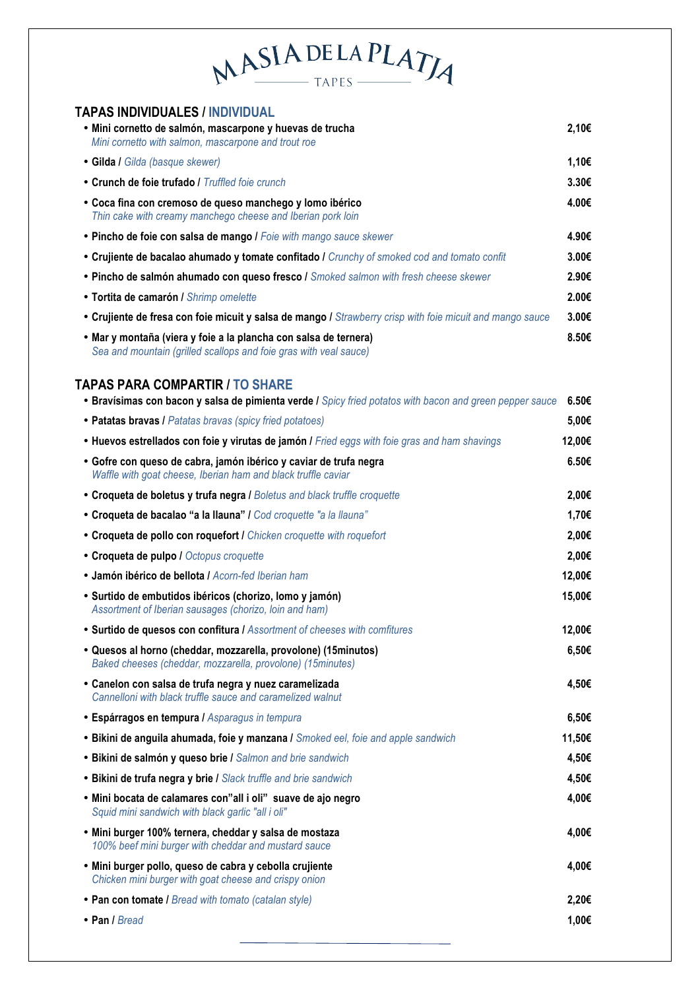## MASIADELAPLATIA

| <b>TAPAS INDIVIDUALES / INDIVIDUAL</b>                                                                                                             |                   |
|----------------------------------------------------------------------------------------------------------------------------------------------------|-------------------|
| · Mini cornetto de salmón, mascarpone y huevas de trucha<br>Mini cornetto with salmon, mascarpone and trout roe                                    | 2,10€             |
| · Gilda / Gilda (basque skewer)                                                                                                                    | 1,10€             |
| • Crunch de foie trufado / Truffled foie crunch                                                                                                    | 3.30 <sub>€</sub> |
| • Coca fina con cremoso de queso manchego y lomo ibérico<br>Thin cake with creamy manchego cheese and Iberian pork loin                            | 4.00€             |
| • Pincho de foie con salsa de mango / Foie with mango sauce skewer                                                                                 | 4.90€             |
| • Crujiente de bacalao ahumado y tomate confitado / Crunchy of smoked cod and tomato confit                                                        | 3.00€             |
| . Pincho de salmón ahumado con queso fresco / Smoked salmon with fresh cheese skewer                                                               | 2.90€             |
| · Tortita de camarón / Shrimp omelette                                                                                                             | 2.00€             |
| • Crujiente de fresa con foie micuit y salsa de mango / Strawberry crisp with foie micuit and mango sauce                                          | 3.00€             |
| • Mar y montaña (viera y foie a la plancha con salsa de ternera)<br>Sea and mountain (grilled scallops and foie gras with veal sauce)              | 8.50€             |
| <b>TAPAS PARA COMPARTIR / TO SHARE</b><br>• Bravísimas con bacon y salsa de pimienta verde / Spicy fried potatos with bacon and green pepper sauce | 6.50E             |
| • Patatas bravas / Patatas bravas (spicy fried potatoes)                                                                                           | 5,00€             |
| • Huevos estrellados con foie y virutas de jamón / Fried eggs with foie gras and ham shavings                                                      | 12,00€            |
| • Gofre con queso de cabra, jamón ibérico y caviar de trufa negra<br>Waffle with goat cheese, Iberian ham and black truffle caviar                 | 6.50€             |
| • Croqueta de boletus y trufa negra / Boletus and black truffle croquette                                                                          | 2,00€             |
| • Croqueta de bacalao "a la llauna" / Cod croquette "a la llauna"                                                                                  | 1,70€             |
| • Croqueta de pollo con roquefort / Chicken croquette with roquefort                                                                               | 2,00€             |
| • Croqueta de pulpo / Octopus croquette                                                                                                            | 2,00€             |
| · Jamón ibérico de bellota / Acorn-fed Iberian ham                                                                                                 | 12,00€            |
| • Surtido de embutidos ibéricos (chorizo, lomo y jamón)<br>Assortment of Iberian sausages (chorizo, loin and ham)                                  | 15,00€            |
| . Surtido de quesos con confitura / Assortment of cheeses with comfitures                                                                          | 12,00€            |
| • Quesos al horno (cheddar, mozzarella, provolone) (15minutos)<br>Baked cheeses (cheddar, mozzarella, provolone) (15minutes)                       | 6,50€             |
| • Canelon con salsa de trufa negra y nuez caramelizada<br>Cannelloni with black truffle sauce and caramelized walnut                               | 4,50€             |
| <b>· Espárragos en tempura / Asparagus in tempura</b>                                                                                              | 6,50€             |
| • Bikini de anguila ahumada, foie y manzana / Smoked eel, foie and apple sandwich                                                                  | 11,50€            |
| • Bikini de salmón y queso brie / Salmon and brie sandwich                                                                                         | 4,50€             |
| • Bikini de trufa negra y brie / Slack truffle and brie sandwich                                                                                   | 4,50€             |
| . Mini bocata de calamares con"all i oli" suave de ajo negro<br>Squid mini sandwich with black garlic "all i oli"                                  | 4,00€             |
| . Mini burger 100% ternera, cheddar y salsa de mostaza<br>100% beef mini burger with cheddar and mustard sauce                                     | 4,00€             |
| . Mini burger pollo, queso de cabra y cebolla crujiente<br>Chicken mini burger with goat cheese and crispy onion                                   | 4,00€             |
| • Pan con tomate / Bread with tomato (catalan style)                                                                                               | 2,20€             |
| • Pan / Bread                                                                                                                                      | 1,00€             |